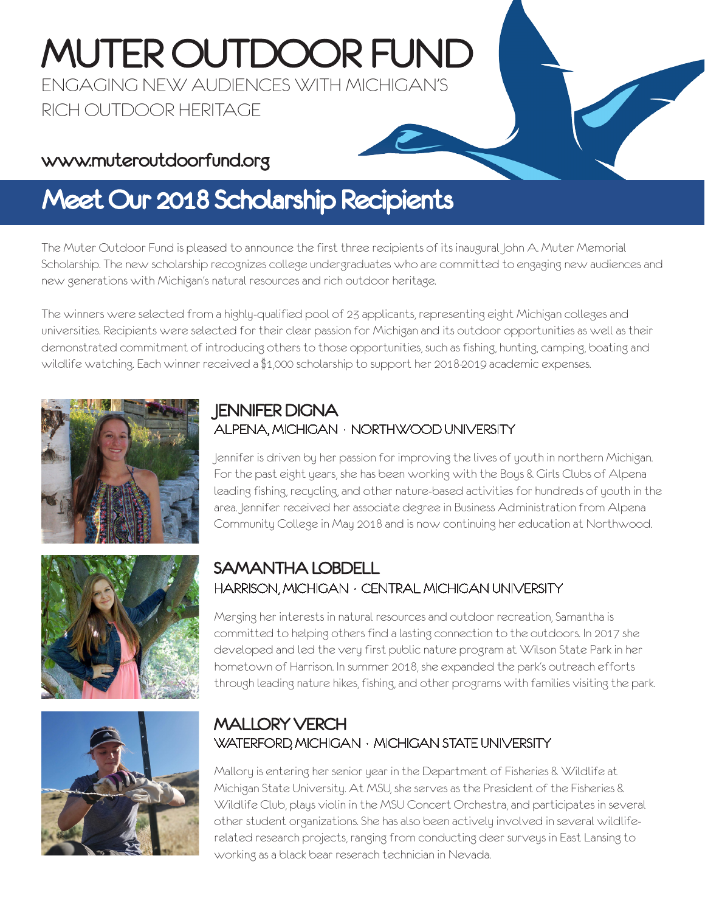# MUTER OUTDOOR FUND

ENGAGING NEW AUDIENCES WITH MICHIGAN'S RICH OUTDOOR HERITAGE

### www.muteroutdoorfund.org

# Meet Our 2018 Scholarship Recipients

The Muter Outdoor Fund is pleased to announce the first three recipients of its inaugural John A. Muter Memorial Scholarship. The new scholarship recognizes college undergraduates who are committed to engaging new audiences and new generations with Michigan's natural resources and rich outdoor heritage.

The winners were selected from a highly-qualified pool of 23 applicants, representing eight Michigan colleges and universities. Recipients were selected for their clear passion for Michigan and its outdoor opportunities as well as their demonstrated commitment of introducing others to those opportunities, such as fishing, hunting, camping, boating and wildlife watching. Each winner received a \$1,000 scholarship to support her 2018-2019 academic expenses.



#### JENNIFER DIGNA ALPENA, MICHIGAN • NORTHWOOD UNIVERSITY

Jennifer is driven by her passion for improving the lives of youth in northern Michigan. For the past eight years, she has been working with the Boys & Girls Clubs of Alpena leading fishing, recycling, and other nature-based activities for hundreds of youth in the area. Jennifer received her associate degree in Business Administration from Alpena Community College in May 2018 and is now continuing her education at Northwood.





#### SAMANTHA LOBDELL HARRISON, MICHIGAN • CENTRAL MICHIGAN UNIVERSITY

Merging her interests in natural resources and outdoor recreation, Samantha is committed to helping others find a lasting connection to the outdoors. In 2017 she developed and led the very first public nature program at Wilson State Park in her hometown of Harrison. In summer 2018, she expanded the park's outreach efforts through leading nature hikes, fishing, and other programs with families visiting the park.

#### MALLORY VERCH WATERFORD, MICHIGAN • MICHIGAN STATE UNIVERSITY

Mallory is entering her senior year in the Department of Fisheries & Wildlife at Michigan State University. At MSU, she serves as the President of the Fisheries & Wildlife Club, plays violin in the MSU Concert Orchestra, and participates in several other student organizations. She has also been actively involved in several wildliferelated research projects, ranging from conducting deer surveys in East Lansing to working as a black bear reserach technician in Nevada.